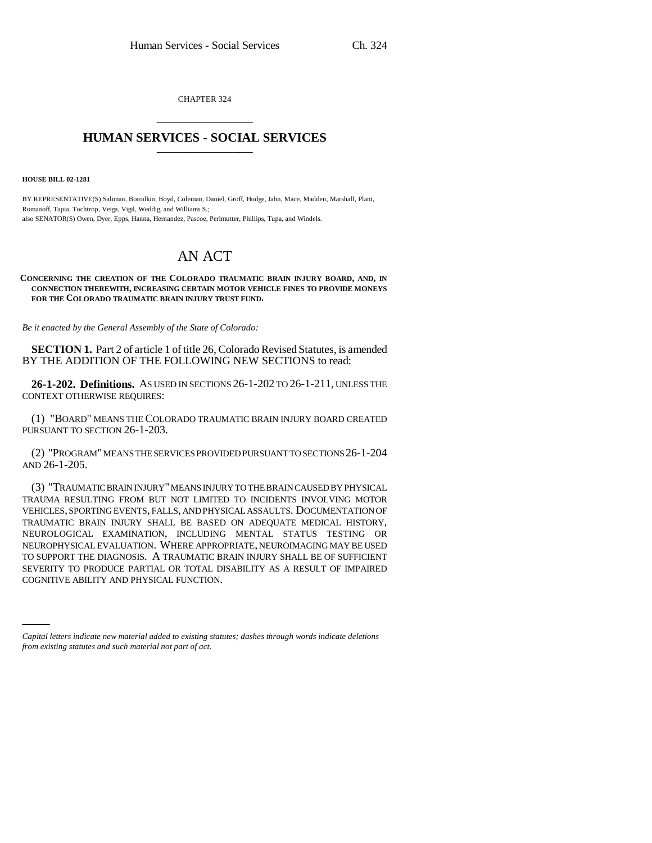CHAPTER 324 \_\_\_\_\_\_\_\_\_\_\_\_\_\_\_

## **HUMAN SERVICES - SOCIAL SERVICES** \_\_\_\_\_\_\_\_\_\_\_\_\_\_\_

**HOUSE BILL 02-1281**

BY REPRESENTATIVE(S) Saliman, Borodkin, Boyd, Coleman, Daniel, Groff, Hodge, Jahn, Mace, Madden, Marshall, Plant, Romanoff, Tapia, Tochtrop, Veiga, Vigil, Weddig, and Williams S.; also SENATOR(S) Owen, Dyer, Epps, Hanna, Hernandez, Pascoe, Perlmutter, Phillips, Tupa, and Windels.

## AN ACT

## **CONCERNING THE CREATION OF THE COLORADO TRAUMATIC BRAIN INJURY BOARD, AND, IN CONNECTION THEREWITH, INCREASING CERTAIN MOTOR VEHICLE FINES TO PROVIDE MONEYS FOR THE COLORADO TRAUMATIC BRAIN INJURY TRUST FUND.**

*Be it enacted by the General Assembly of the State of Colorado:*

**SECTION 1.** Part 2 of article 1 of title 26, Colorado Revised Statutes, is amended BY THE ADDITION OF THE FOLLOWING NEW SECTIONS to read:

**26-1-202. Definitions.** AS USED IN SECTIONS 26-1-202 TO 26-1-211, UNLESS THE CONTEXT OTHERWISE REQUIRES:

(1) "BOARD" MEANS THE COLORADO TRAUMATIC BRAIN INJURY BOARD CREATED PURSUANT TO SECTION 26-1-203.

(2) "PROGRAM" MEANS THE SERVICES PROVIDED PURSUANT TO SECTIONS 26-1-204 AND 26-1-205.

SEVERITY TO PRODUCE PARTIAL OR TOTAL DISABILITY AS A RESULT OF IMPAIRED (3) "TRAUMATIC BRAIN INJURY" MEANS INJURY TO THE BRAIN CAUSED BY PHYSICAL TRAUMA RESULTING FROM BUT NOT LIMITED TO INCIDENTS INVOLVING MOTOR VEHICLES, SPORTING EVENTS, FALLS, AND PHYSICAL ASSAULTS. DOCUMENTATION OF TRAUMATIC BRAIN INJURY SHALL BE BASED ON ADEQUATE MEDICAL HISTORY, NEUROLOGICAL EXAMINATION, INCLUDING MENTAL STATUS TESTING OR NEUROPHYSICAL EVALUATION. WHERE APPROPRIATE, NEUROIMAGING MAY BE USED TO SUPPORT THE DIAGNOSIS. A TRAUMATIC BRAIN INJURY SHALL BE OF SUFFICIENT COGNITIVE ABILITY AND PHYSICAL FUNCTION.

*Capital letters indicate new material added to existing statutes; dashes through words indicate deletions from existing statutes and such material not part of act.*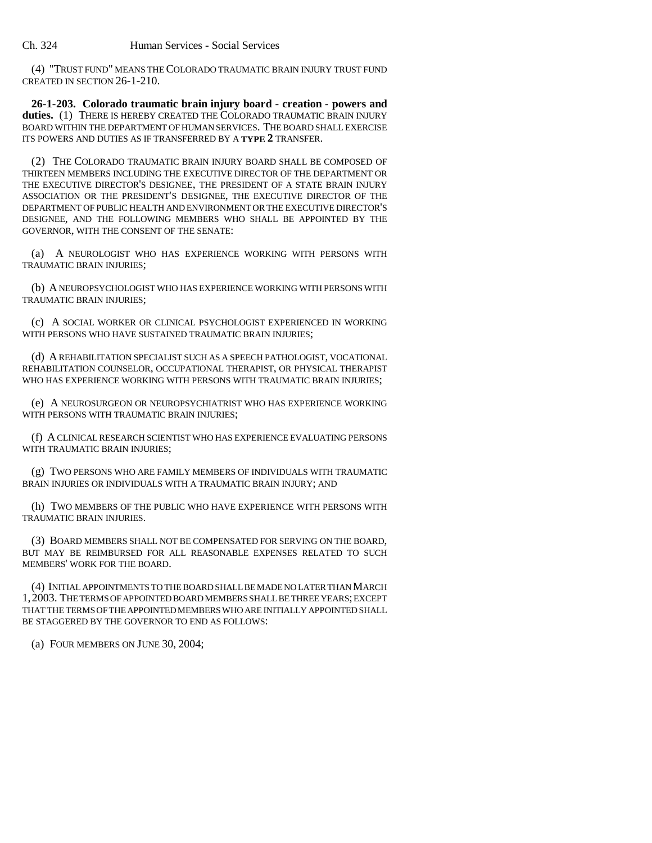(4) "TRUST FUND" MEANS THE COLORADO TRAUMATIC BRAIN INJURY TRUST FUND CREATED IN SECTION 26-1-210.

**26-1-203. Colorado traumatic brain injury board - creation - powers and duties.** (1) THERE IS HEREBY CREATED THE COLORADO TRAUMATIC BRAIN INJURY BOARD WITHIN THE DEPARTMENT OF HUMAN SERVICES. THE BOARD SHALL EXERCISE ITS POWERS AND DUTIES AS IF TRANSFERRED BY A **TYPE 2** TRANSFER.

(2) THE COLORADO TRAUMATIC BRAIN INJURY BOARD SHALL BE COMPOSED OF THIRTEEN MEMBERS INCLUDING THE EXECUTIVE DIRECTOR OF THE DEPARTMENT OR THE EXECUTIVE DIRECTOR'S DESIGNEE, THE PRESIDENT OF A STATE BRAIN INJURY ASSOCIATION OR THE PRESIDENT'S DESIGNEE, THE EXECUTIVE DIRECTOR OF THE DEPARTMENT OF PUBLIC HEALTH AND ENVIRONMENT OR THE EXECUTIVE DIRECTOR'S DESIGNEE, AND THE FOLLOWING MEMBERS WHO SHALL BE APPOINTED BY THE GOVERNOR, WITH THE CONSENT OF THE SENATE:

(a) A NEUROLOGIST WHO HAS EXPERIENCE WORKING WITH PERSONS WITH TRAUMATIC BRAIN INJURIES;

(b) A NEUROPSYCHOLOGIST WHO HAS EXPERIENCE WORKING WITH PERSONS WITH TRAUMATIC BRAIN INJURIES;

(c) A SOCIAL WORKER OR CLINICAL PSYCHOLOGIST EXPERIENCED IN WORKING WITH PERSONS WHO HAVE SUSTAINED TRAUMATIC BRAIN INJURIES;

(d) A REHABILITATION SPECIALIST SUCH AS A SPEECH PATHOLOGIST, VOCATIONAL REHABILITATION COUNSELOR, OCCUPATIONAL THERAPIST, OR PHYSICAL THERAPIST WHO HAS EXPERIENCE WORKING WITH PERSONS WITH TRAUMATIC BRAIN INJURIES;

(e) A NEUROSURGEON OR NEUROPSYCHIATRIST WHO HAS EXPERIENCE WORKING WITH PERSONS WITH TRAUMATIC BRAIN INJURIES;

(f) A CLINICAL RESEARCH SCIENTIST WHO HAS EXPERIENCE EVALUATING PERSONS WITH TRAUMATIC BRAIN INJURIES;

(g) TWO PERSONS WHO ARE FAMILY MEMBERS OF INDIVIDUALS WITH TRAUMATIC BRAIN INJURIES OR INDIVIDUALS WITH A TRAUMATIC BRAIN INJURY; AND

(h) TWO MEMBERS OF THE PUBLIC WHO HAVE EXPERIENCE WITH PERSONS WITH TRAUMATIC BRAIN INJURIES.

(3) BOARD MEMBERS SHALL NOT BE COMPENSATED FOR SERVING ON THE BOARD, BUT MAY BE REIMBURSED FOR ALL REASONABLE EXPENSES RELATED TO SUCH MEMBERS' WORK FOR THE BOARD.

(4) INITIAL APPOINTMENTS TO THE BOARD SHALL BE MADE NO LATER THAN MARCH 1,2003. THE TERMS OF APPOINTED BOARD MEMBERS SHALL BE THREE YEARS; EXCEPT THAT THE TERMS OF THE APPOINTED MEMBERS WHO ARE INITIALLY APPOINTED SHALL BE STAGGERED BY THE GOVERNOR TO END AS FOLLOWS:

(a) FOUR MEMBERS ON JUNE 30, 2004;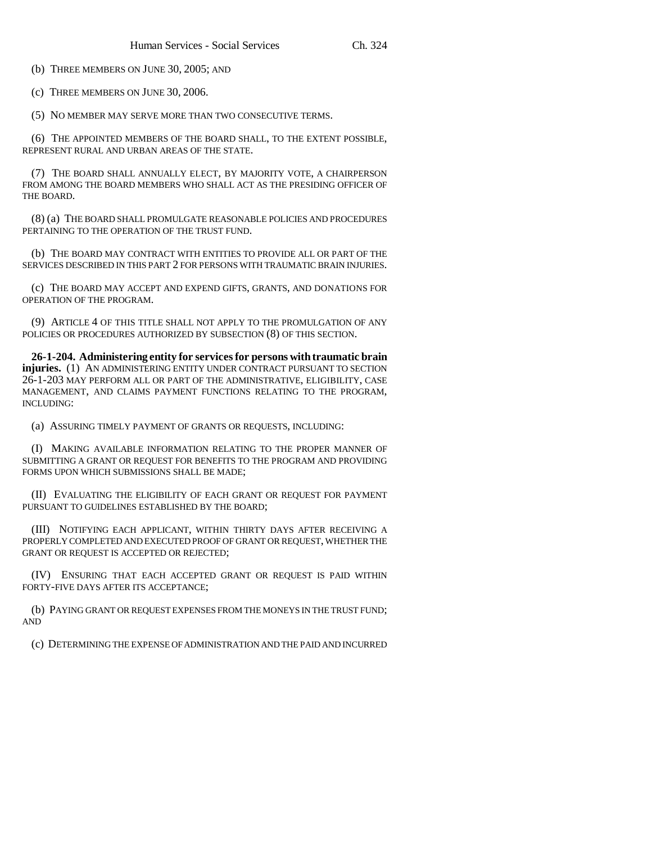(b) THREE MEMBERS ON JUNE 30, 2005; AND

(c) THREE MEMBERS ON JUNE 30, 2006.

(5) NO MEMBER MAY SERVE MORE THAN TWO CONSECUTIVE TERMS.

(6) THE APPOINTED MEMBERS OF THE BOARD SHALL, TO THE EXTENT POSSIBLE, REPRESENT RURAL AND URBAN AREAS OF THE STATE.

(7) THE BOARD SHALL ANNUALLY ELECT, BY MAJORITY VOTE, A CHAIRPERSON FROM AMONG THE BOARD MEMBERS WHO SHALL ACT AS THE PRESIDING OFFICER OF THE BOARD.

(8) (a) THE BOARD SHALL PROMULGATE REASONABLE POLICIES AND PROCEDURES PERTAINING TO THE OPERATION OF THE TRUST FUND.

(b) THE BOARD MAY CONTRACT WITH ENTITIES TO PROVIDE ALL OR PART OF THE SERVICES DESCRIBED IN THIS PART 2 FOR PERSONS WITH TRAUMATIC BRAIN INJURIES.

(c) THE BOARD MAY ACCEPT AND EXPEND GIFTS, GRANTS, AND DONATIONS FOR OPERATION OF THE PROGRAM.

(9) ARTICLE 4 OF THIS TITLE SHALL NOT APPLY TO THE PROMULGATION OF ANY POLICIES OR PROCEDURES AUTHORIZED BY SUBSECTION (8) OF THIS SECTION.

**26-1-204. Administering entity for services for persons with traumatic brain injuries.** (1) AN ADMINISTERING ENTITY UNDER CONTRACT PURSUANT TO SECTION 26-1-203 MAY PERFORM ALL OR PART OF THE ADMINISTRATIVE, ELIGIBILITY, CASE MANAGEMENT, AND CLAIMS PAYMENT FUNCTIONS RELATING TO THE PROGRAM, INCLUDING:

(a) ASSURING TIMELY PAYMENT OF GRANTS OR REQUESTS, INCLUDING:

(I) MAKING AVAILABLE INFORMATION RELATING TO THE PROPER MANNER OF SUBMITTING A GRANT OR REQUEST FOR BENEFITS TO THE PROGRAM AND PROVIDING FORMS UPON WHICH SUBMISSIONS SHALL BE MADE;

(II) EVALUATING THE ELIGIBILITY OF EACH GRANT OR REQUEST FOR PAYMENT PURSUANT TO GUIDELINES ESTABLISHED BY THE BOARD;

(III) NOTIFYING EACH APPLICANT, WITHIN THIRTY DAYS AFTER RECEIVING A PROPERLY COMPLETED AND EXECUTED PROOF OF GRANT OR REQUEST, WHETHER THE GRANT OR REQUEST IS ACCEPTED OR REJECTED;

(IV) ENSURING THAT EACH ACCEPTED GRANT OR REQUEST IS PAID WITHIN FORTY-FIVE DAYS AFTER ITS ACCEPTANCE;

(b) PAYING GRANT OR REQUEST EXPENSES FROM THE MONEYS IN THE TRUST FUND; AND

(c) DETERMINING THE EXPENSE OF ADMINISTRATION AND THE PAID AND INCURRED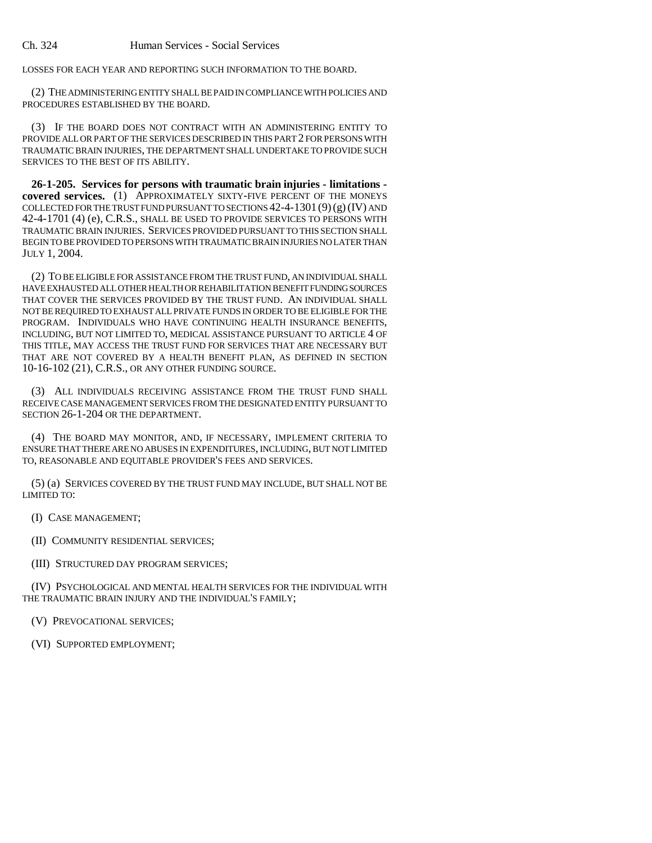LOSSES FOR EACH YEAR AND REPORTING SUCH INFORMATION TO THE BOARD.

(2) THE ADMINISTERING ENTITY SHALL BE PAID IN COMPLIANCE WITH POLICIES AND PROCEDURES ESTABLISHED BY THE BOARD.

(3) IF THE BOARD DOES NOT CONTRACT WITH AN ADMINISTERING ENTITY TO PROVIDE ALL OR PART OF THE SERVICES DESCRIBED IN THIS PART 2 FOR PERSONS WITH TRAUMATIC BRAIN INJURIES, THE DEPARTMENT SHALL UNDERTAKE TO PROVIDE SUCH SERVICES TO THE BEST OF ITS ABILITY.

**26-1-205. Services for persons with traumatic brain injuries - limitations covered services.** (1) APPROXIMATELY SIXTY-FIVE PERCENT OF THE MONEYS COLLECTED FOR THE TRUST FUND PURSUANT TO SECTIONS  $42-4-1301(9)(g)(IV)$  AND 42-4-1701 (4) (e), C.R.S., SHALL BE USED TO PROVIDE SERVICES TO PERSONS WITH TRAUMATIC BRAIN INJURIES. SERVICES PROVIDED PURSUANT TO THIS SECTION SHALL BEGIN TO BE PROVIDED TO PERSONS WITH TRAUMATIC BRAIN INJURIES NO LATER THAN JULY 1, 2004.

(2) TO BE ELIGIBLE FOR ASSISTANCE FROM THE TRUST FUND, AN INDIVIDUAL SHALL HAVE EXHAUSTED ALL OTHER HEALTH OR REHABILITATION BENEFIT FUNDING SOURCES THAT COVER THE SERVICES PROVIDED BY THE TRUST FUND. AN INDIVIDUAL SHALL NOT BE REQUIRED TO EXHAUST ALL PRIVATE FUNDS IN ORDER TO BE ELIGIBLE FOR THE PROGRAM. INDIVIDUALS WHO HAVE CONTINUING HEALTH INSURANCE BENEFITS, INCLUDING, BUT NOT LIMITED TO, MEDICAL ASSISTANCE PURSUANT TO ARTICLE 4 OF THIS TITLE, MAY ACCESS THE TRUST FUND FOR SERVICES THAT ARE NECESSARY BUT THAT ARE NOT COVERED BY A HEALTH BENEFIT PLAN, AS DEFINED IN SECTION 10-16-102 (21), C.R.S., OR ANY OTHER FUNDING SOURCE.

(3) ALL INDIVIDUALS RECEIVING ASSISTANCE FROM THE TRUST FUND SHALL RECEIVE CASE MANAGEMENT SERVICES FROM THE DESIGNATED ENTITY PURSUANT TO SECTION 26-1-204 OR THE DEPARTMENT.

(4) THE BOARD MAY MONITOR, AND, IF NECESSARY, IMPLEMENT CRITERIA TO ENSURE THAT THERE ARE NO ABUSES IN EXPENDITURES, INCLUDING, BUT NOT LIMITED TO, REASONABLE AND EQUITABLE PROVIDER'S FEES AND SERVICES.

(5) (a) SERVICES COVERED BY THE TRUST FUND MAY INCLUDE, BUT SHALL NOT BE LIMITED TO:

(I) CASE MANAGEMENT;

(II) COMMUNITY RESIDENTIAL SERVICES;

(III) STRUCTURED DAY PROGRAM SERVICES;

(IV) PSYCHOLOGICAL AND MENTAL HEALTH SERVICES FOR THE INDIVIDUAL WITH THE TRAUMATIC BRAIN INJURY AND THE INDIVIDUAL'S FAMILY;

(V) PREVOCATIONAL SERVICES;

(VI) SUPPORTED EMPLOYMENT;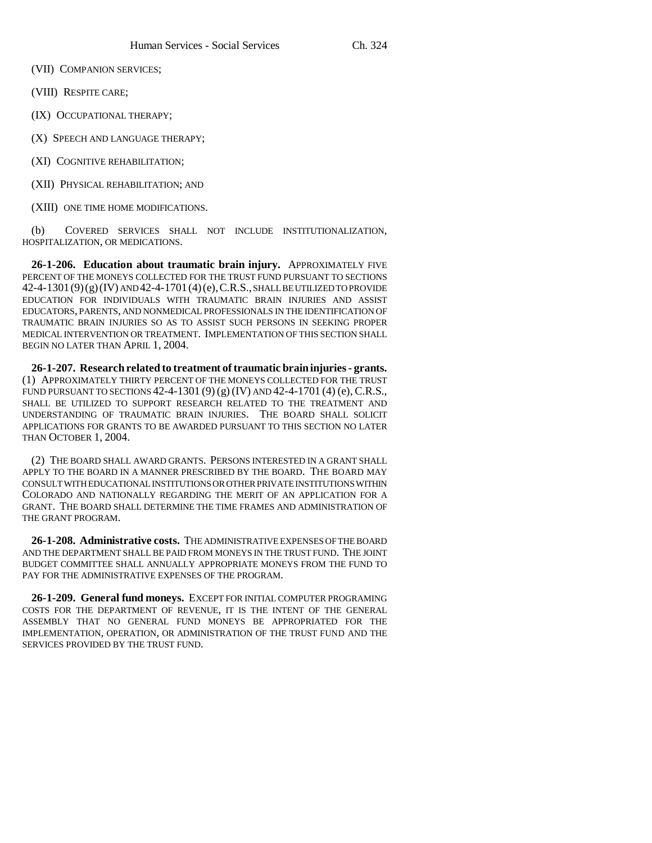(VII) COMPANION SERVICES;

(VIII) RESPITE CARE;

(IX) OCCUPATIONAL THERAPY;

(X) SPEECH AND LANGUAGE THERAPY;

(XI) COGNITIVE REHABILITATION;

(XII) PHYSICAL REHABILITATION; AND

(XIII) ONE TIME HOME MODIFICATIONS.

(b) COVERED SERVICES SHALL NOT INCLUDE INSTITUTIONALIZATION, HOSPITALIZATION, OR MEDICATIONS.

**26-1-206. Education about traumatic brain injury.** APPROXIMATELY FIVE PERCENT OF THE MONEYS COLLECTED FOR THE TRUST FUND PURSUANT TO SECTIONS 42-4-1301(9)(g)(IV) AND 42-4-1701(4)(e),C.R.S., SHALL BE UTILIZED TO PROVIDE EDUCATION FOR INDIVIDUALS WITH TRAUMATIC BRAIN INJURIES AND ASSIST EDUCATORS, PARENTS, AND NONMEDICAL PROFESSIONALS IN THE IDENTIFICATION OF TRAUMATIC BRAIN INJURIES SO AS TO ASSIST SUCH PERSONS IN SEEKING PROPER MEDICAL INTERVENTION OR TREATMENT. IMPLEMENTATION OF THIS SECTION SHALL BEGIN NO LATER THAN APRIL 1, 2004.

**26-1-207. Research related to treatment of traumatic brain injuries - grants.** (1) APPROXIMATELY THIRTY PERCENT OF THE MONEYS COLLECTED FOR THE TRUST FUND PURSUANT TO SECTIONS 42-4-1301 (9) (g) (IV) AND 42-4-1701 (4) (e), C.R.S., SHALL BE UTILIZED TO SUPPORT RESEARCH RELATED TO THE TREATMENT AND UNDERSTANDING OF TRAUMATIC BRAIN INJURIES. THE BOARD SHALL SOLICIT APPLICATIONS FOR GRANTS TO BE AWARDED PURSUANT TO THIS SECTION NO LATER THAN OCTOBER 1, 2004.

(2) THE BOARD SHALL AWARD GRANTS. PERSONS INTERESTED IN A GRANT SHALL APPLY TO THE BOARD IN A MANNER PRESCRIBED BY THE BOARD. THE BOARD MAY CONSULT WITH EDUCATIONAL INSTITUTIONS OR OTHER PRIVATE INSTITUTIONS WITHIN COLORADO AND NATIONALLY REGARDING THE MERIT OF AN APPLICATION FOR A GRANT. THE BOARD SHALL DETERMINE THE TIME FRAMES AND ADMINISTRATION OF THE GRANT PROGRAM.

**26-1-208. Administrative costs.** THE ADMINISTRATIVE EXPENSES OF THE BOARD AND THE DEPARTMENT SHALL BE PAID FROM MONEYS IN THE TRUST FUND. THE JOINT BUDGET COMMITTEE SHALL ANNUALLY APPROPRIATE MONEYS FROM THE FUND TO PAY FOR THE ADMINISTRATIVE EXPENSES OF THE PROGRAM.

**26-1-209. General fund moneys.** EXCEPT FOR INITIAL COMPUTER PROGRAMING COSTS FOR THE DEPARTMENT OF REVENUE, IT IS THE INTENT OF THE GENERAL ASSEMBLY THAT NO GENERAL FUND MONEYS BE APPROPRIATED FOR THE IMPLEMENTATION, OPERATION, OR ADMINISTRATION OF THE TRUST FUND AND THE SERVICES PROVIDED BY THE TRUST FUND.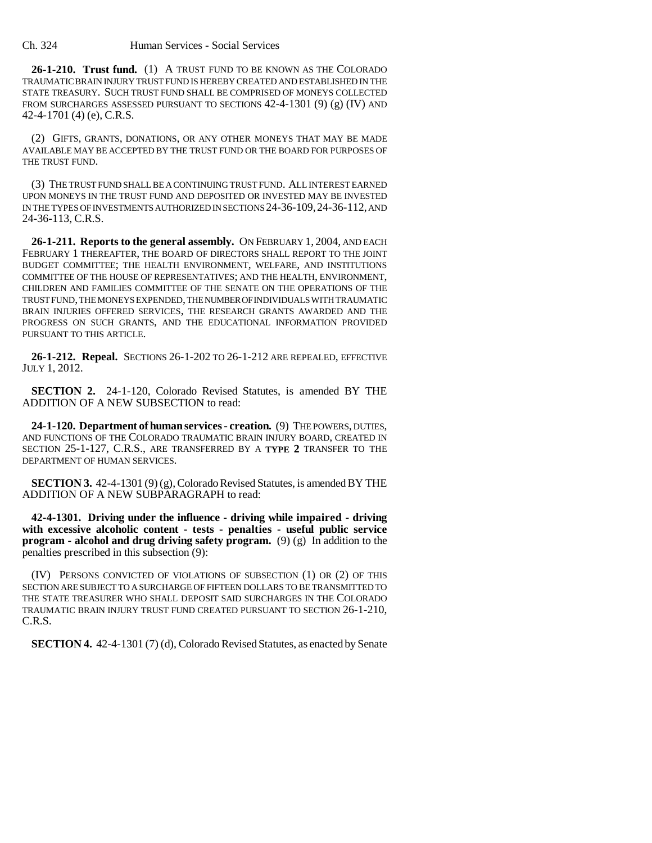**26-1-210. Trust fund.** (1) A TRUST FUND TO BE KNOWN AS THE COLORADO TRAUMATIC BRAIN INJURY TRUST FUND IS HEREBY CREATED AND ESTABLISHED IN THE STATE TREASURY. SUCH TRUST FUND SHALL BE COMPRISED OF MONEYS COLLECTED FROM SURCHARGES ASSESSED PURSUANT TO SECTIONS  $42-4-1301$  (9) (g) (IV) AND 42-4-1701 (4) (e), C.R.S.

(2) GIFTS, GRANTS, DONATIONS, OR ANY OTHER MONEYS THAT MAY BE MADE AVAILABLE MAY BE ACCEPTED BY THE TRUST FUND OR THE BOARD FOR PURPOSES OF THE TRUST FUND.

(3) THE TRUST FUND SHALL BE A CONTINUING TRUST FUND. ALL INTEREST EARNED UPON MONEYS IN THE TRUST FUND AND DEPOSITED OR INVESTED MAY BE INVESTED IN THE TYPES OF INVESTMENTS AUTHORIZED IN SECTIONS 24-36-109,24-36-112, AND 24-36-113, C.R.S.

**26-1-211. Reports to the general assembly.** ON FEBRUARY 1, 2004, AND EACH FEBRUARY 1 THEREAFTER, THE BOARD OF DIRECTORS SHALL REPORT TO THE JOINT BUDGET COMMITTEE; THE HEALTH ENVIRONMENT, WELFARE, AND INSTITUTIONS COMMITTEE OF THE HOUSE OF REPRESENTATIVES; AND THE HEALTH, ENVIRONMENT, CHILDREN AND FAMILIES COMMITTEE OF THE SENATE ON THE OPERATIONS OF THE TRUST FUND, THE MONEYS EXPENDED, THE NUMBER OF INDIVIDUALS WITH TRAUMATIC BRAIN INJURIES OFFERED SERVICES, THE RESEARCH GRANTS AWARDED AND THE PROGRESS ON SUCH GRANTS, AND THE EDUCATIONAL INFORMATION PROVIDED PURSUANT TO THIS ARTICLE.

**26-1-212. Repeal.** SECTIONS 26-1-202 TO 26-1-212 ARE REPEALED, EFFECTIVE JULY 1, 2012.

**SECTION 2.** 24-1-120, Colorado Revised Statutes, is amended BY THE ADDITION OF A NEW SUBSECTION to read:

**24-1-120. Department of human services - creation.** (9) THE POWERS, DUTIES, AND FUNCTIONS OF THE COLORADO TRAUMATIC BRAIN INJURY BOARD, CREATED IN SECTION 25-1-127, C.R.S., ARE TRANSFERRED BY A **TYPE 2** TRANSFER TO THE DEPARTMENT OF HUMAN SERVICES.

**SECTION 3.** 42-4-1301 (9) (g), Colorado Revised Statutes, is amended BY THE ADDITION OF A NEW SUBPARAGRAPH to read:

**42-4-1301. Driving under the influence - driving while impaired - driving with excessive alcoholic content - tests - penalties - useful public service program - alcohol and drug driving safety program.** (9) (g) In addition to the penalties prescribed in this subsection (9):

(IV) PERSONS CONVICTED OF VIOLATIONS OF SUBSECTION (1) OR (2) OF THIS SECTION ARE SUBJECT TO A SURCHARGE OF FIFTEEN DOLLARS TO BE TRANSMITTED TO THE STATE TREASURER WHO SHALL DEPOSIT SAID SURCHARGES IN THE COLORADO TRAUMATIC BRAIN INJURY TRUST FUND CREATED PURSUANT TO SECTION 26-1-210, C.R.S.

**SECTION 4.** 42-4-1301 (7) (d), Colorado Revised Statutes, as enacted by Senate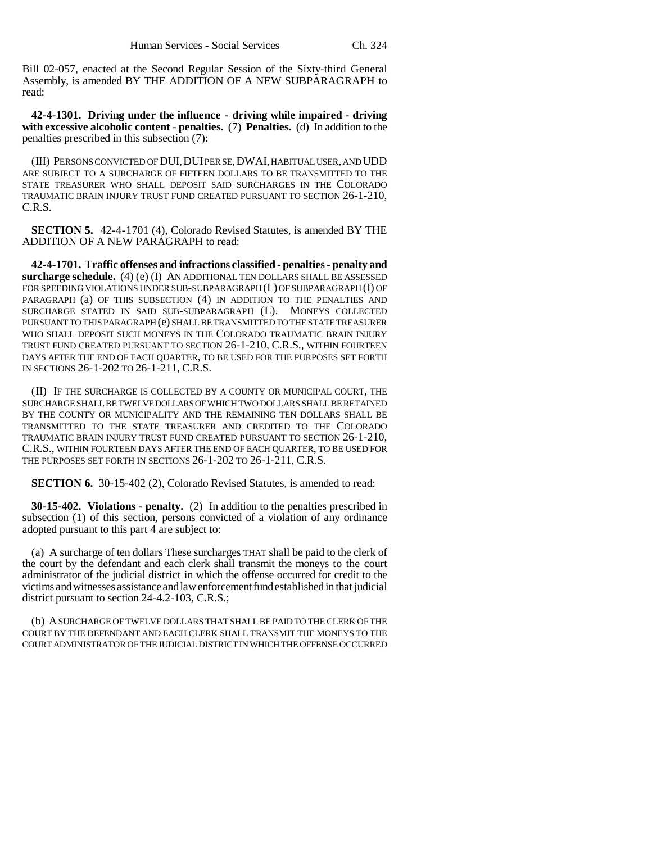Bill 02-057, enacted at the Second Regular Session of the Sixty-third General Assembly, is amended BY THE ADDITION OF A NEW SUBPARAGRAPH to read:

**42-4-1301. Driving under the influence - driving while impaired - driving with excessive alcoholic content - penalties.** (7) **Penalties.** (d) In addition to the penalties prescribed in this subsection (7):

(III) PERSONS CONVICTED OF DUI,DUI PER SE,DWAI, HABITUAL USER, AND UDD ARE SUBJECT TO A SURCHARGE OF FIFTEEN DOLLARS TO BE TRANSMITTED TO THE STATE TREASURER WHO SHALL DEPOSIT SAID SURCHARGES IN THE COLORADO TRAUMATIC BRAIN INJURY TRUST FUND CREATED PURSUANT TO SECTION 26-1-210, C.R.S.

**SECTION 5.** 42-4-1701 (4), Colorado Revised Statutes, is amended BY THE ADDITION OF A NEW PARAGRAPH to read:

**42-4-1701. Traffic offenses and infractions classified - penalties - penalty and surcharge schedule.** (4) (e) (I) AN ADDITIONAL TEN DOLLARS SHALL BE ASSESSED FOR SPEEDING VIOLATIONS UNDER SUB-SUBPARAGRAPH (L) OF SUBPARAGRAPH (I) OF PARAGRAPH (a) OF THIS SUBSECTION (4) IN ADDITION TO THE PENALTIES AND SURCHARGE STATED IN SAID SUB-SUBPARAGRAPH (L). MONEYS COLLECTED PURSUANT TO THIS PARAGRAPH (e) SHALL BE TRANSMITTED TO THE STATE TREASURER WHO SHALL DEPOSIT SUCH MONEYS IN THE COLORADO TRAUMATIC BRAIN INJURY TRUST FUND CREATED PURSUANT TO SECTION 26-1-210, C.R.S., WITHIN FOURTEEN DAYS AFTER THE END OF EACH QUARTER, TO BE USED FOR THE PURPOSES SET FORTH IN SECTIONS 26-1-202 TO 26-1-211, C.R.S.

(II) IF THE SURCHARGE IS COLLECTED BY A COUNTY OR MUNICIPAL COURT, THE SURCHARGE SHALL BE TWELVE DOLLARS OF WHICH TWO DOLLARS SHALL BE RETAINED BY THE COUNTY OR MUNICIPALITY AND THE REMAINING TEN DOLLARS SHALL BE TRANSMITTED TO THE STATE TREASURER AND CREDITED TO THE COLORADO TRAUMATIC BRAIN INJURY TRUST FUND CREATED PURSUANT TO SECTION 26-1-210, C.R.S., WITHIN FOURTEEN DAYS AFTER THE END OF EACH QUARTER, TO BE USED FOR THE PURPOSES SET FORTH IN SECTIONS 26-1-202 TO 26-1-211, C.R.S.

**SECTION 6.** 30-15-402 (2), Colorado Revised Statutes, is amended to read:

**30-15-402. Violations - penalty.** (2) In addition to the penalties prescribed in subsection (1) of this section, persons convicted of a violation of any ordinance adopted pursuant to this part 4 are subject to:

(a) A surcharge of ten dollars These surcharges THAT shall be paid to the clerk of the court by the defendant and each clerk shall transmit the moneys to the court administrator of the judicial district in which the offense occurred for credit to the victims and witnesses assistance and law enforcement fund established in that judicial district pursuant to section 24-4.2-103, C.R.S.;

(b) A SURCHARGE OF TWELVE DOLLARS THAT SHALL BE PAID TO THE CLERK OF THE COURT BY THE DEFENDANT AND EACH CLERK SHALL TRANSMIT THE MONEYS TO THE COURT ADMINISTRATOR OF THE JUDICIAL DISTRICT IN WHICH THE OFFENSE OCCURRED